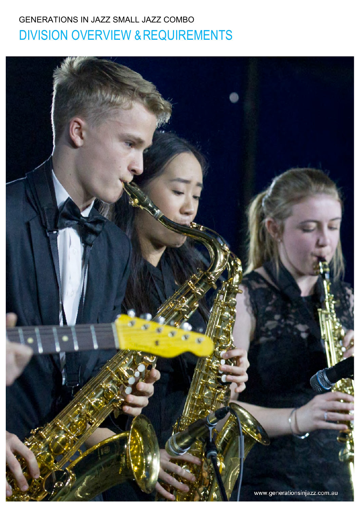# GENERATIONS IN JAZZ SMALL JAZZ COMBO DIVISION OVERVIEW &REQUIREMENTS